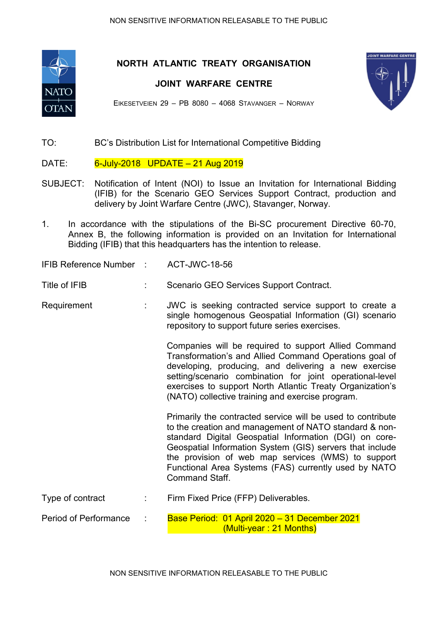

**NORTH ATLANTIC TREATY ORGANISATION**

## **JOINT WARFARE CENTRE**



EIKESETVEIEN 29 – PB 8080 – 4068 STAVANGER – NORWAY

- TO: BC's Distribution List for International Competitive Bidding
- DATE: 6-July-2018 UPDATE 21 Aug 2019
- SUBJECT: Notification of Intent (NOI) to Issue an Invitation for International Bidding (IFIB) for the Scenario GEO Services Support Contract, production and delivery by Joint Warfare Centre (JWC), Stavanger, Norway.
- 1. In accordance with the stipulations of the Bi-SC procurement Directive 60-70, Annex B, the following information is provided on an Invitation for International Bidding (IFIB) that this headquarters has the intention to release.
- IFIB Reference Number : ACT-JWC-18-56
- Title of IFIB : Scenario GEO Services Support Contract.
- Requirement The Support is seeking contracted service support to create a single homogenous Geospatial Information (GI) scenario repository to support future series exercises.

Companies will be required to support Allied Command Transformation's and Allied Command Operations goal of developing, producing, and delivering a new exercise setting/scenario combination for joint operational-level exercises to support North Atlantic Treaty Organization's (NATO) collective training and exercise program.

Primarily the contracted service will be used to contribute to the creation and management of NATO standard & nonstandard Digital Geospatial Information (DGI) on core-Geospatial Information System (GIS) servers that include the provision of web map services (WMS) to support Functional Area Systems (FAS) currently used by NATO Command Staff.

- Type of contract : Firm Fixed Price (FFP) Deliverables.
- Period of Performance : Base Period: 01 April 2020 31 December 2021 (Multi-year : 21 Months)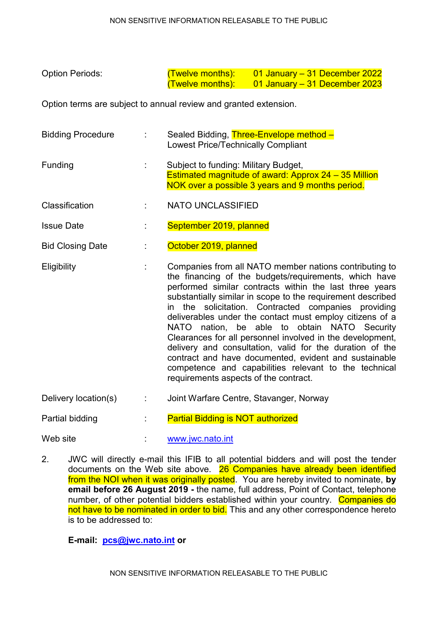Option Periods: (Twelve months): 01 January – 31 December 2022 (Twelve months): 01 January – 31 December 2023

Option terms are subject to annual review and granted extension.

- Bidding Procedure : Sealed Bidding, Three-Envelope method -Lowest Price/Technically Compliant Funding : Subject to funding: Military Budget, Estimated magnitude of award: Approx 24 – 35 Million NOK over a possible 3 years and 9 months period. Classification : NATO UNCLASSIFIED Issue Date : September 2019, planned Bid Closing Date : Correct Control Control of Details Point Point Point Point Point Point Point Point Point Point Point Point Point Point Point Point Point Point Point Point Point Point Point Point Point Point Point Point Eligibility : Companies from all NATO member nations contributing to the financing of the budgets/requirements, which have performed similar contracts within the last three years substantially similar in scope to the requirement described in the solicitation. Contracted companies providing deliverables under the contact must employ citizens of a NATO nation, be able to obtain NATO Security Clearances for all personnel involved in the development, delivery and consultation, valid for the duration of the contract and have documented, evident and sustainable competence and capabilities relevant to the technical requirements aspects of the contract. Delivery location(s) : Joint Warfare Centre, Stavanger, Norway Partial bidding : Partial Bidding is NOT authorized
- Web site in the site of the [www.jwc.nato.int](http://www.jwc.nato.int/)
- 2. JWC will directly e-mail this IFIB to all potential bidders and will post the tender documents on the Web site above. 26 Companies have already been identified from the NOI when it was originally posted. You are hereby invited to nominate, **by email before 26 August 2019 -** the name, full address, Point of Contact, telephone number, of other potential bidders established within your country. Companies do not have to be nominated in order to bid. This and any other correspondence hereto is to be addressed to:

**E-mail: [pcs@jwc.nato.int](mailto:pcs@jwc.nato.int) or**